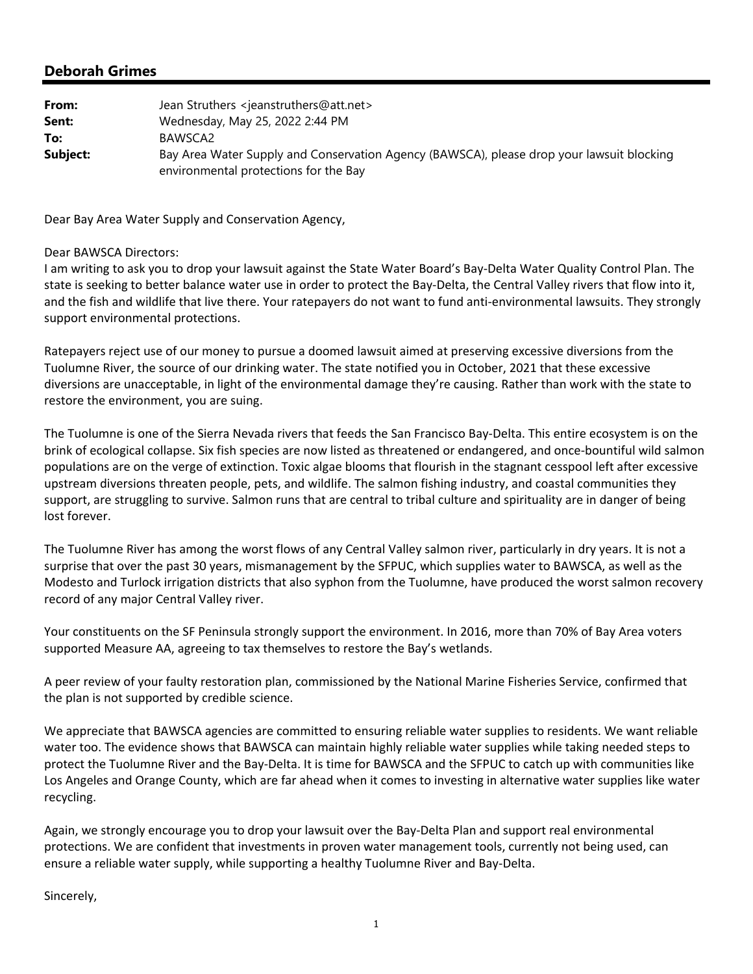| From:    | Jean Struthers <jeanstruthers@att.net></jeanstruthers@att.net>                                                                     |
|----------|------------------------------------------------------------------------------------------------------------------------------------|
| Sent:    | Wednesday, May 25, 2022 2:44 PM                                                                                                    |
| To:      | BAWSCA2                                                                                                                            |
| Subject: | Bay Area Water Supply and Conservation Agency (BAWSCA), please drop your lawsuit blocking<br>environmental protections for the Bay |

Dear Bay Area Water Supply and Conservation Agency,

#### Dear BAWSCA Directors:

I am writing to ask you to drop your lawsuit against the State Water Board's Bay‐Delta Water Quality Control Plan. The state is seeking to better balance water use in order to protect the Bay‐Delta, the Central Valley rivers that flow into it, and the fish and wildlife that live there. Your ratepayers do not want to fund anti-environmental lawsuits. They strongly support environmental protections.

Ratepayers reject use of our money to pursue a doomed lawsuit aimed at preserving excessive diversions from the Tuolumne River, the source of our drinking water. The state notified you in October, 2021 that these excessive diversions are unacceptable, in light of the environmental damage they're causing. Rather than work with the state to restore the environment, you are suing.

The Tuolumne is one of the Sierra Nevada rivers that feeds the San Francisco Bay‐Delta. This entire ecosystem is on the brink of ecological collapse. Six fish species are now listed as threatened or endangered, and once‐bountiful wild salmon populations are on the verge of extinction. Toxic algae blooms that flourish in the stagnant cesspool left after excessive upstream diversions threaten people, pets, and wildlife. The salmon fishing industry, and coastal communities they support, are struggling to survive. Salmon runs that are central to tribal culture and spirituality are in danger of being lost forever.

The Tuolumne River has among the worst flows of any Central Valley salmon river, particularly in dry years. It is not a surprise that over the past 30 years, mismanagement by the SFPUC, which supplies water to BAWSCA, as well as the Modesto and Turlock irrigation districts that also syphon from the Tuolumne, have produced the worst salmon recovery record of any major Central Valley river.

Your constituents on the SF Peninsula strongly support the environment. In 2016, more than 70% of Bay Area voters supported Measure AA, agreeing to tax themselves to restore the Bay's wetlands.

A peer review of your faulty restoration plan, commissioned by the National Marine Fisheries Service, confirmed that the plan is not supported by credible science.

We appreciate that BAWSCA agencies are committed to ensuring reliable water supplies to residents. We want reliable water too. The evidence shows that BAWSCA can maintain highly reliable water supplies while taking needed steps to protect the Tuolumne River and the Bay‐Delta. It is time for BAWSCA and the SFPUC to catch up with communities like Los Angeles and Orange County, which are far ahead when it comes to investing in alternative water supplies like water recycling.

Again, we strongly encourage you to drop your lawsuit over the Bay‐Delta Plan and support real environmental protections. We are confident that investments in proven water management tools, currently not being used, can ensure a reliable water supply, while supporting a healthy Tuolumne River and Bay‐Delta.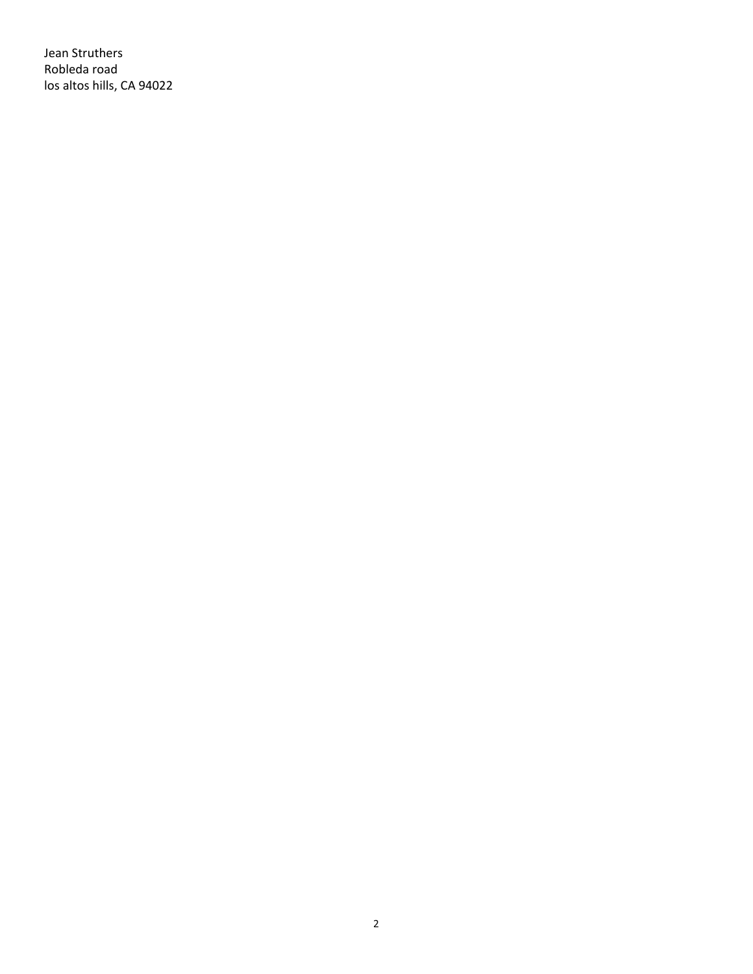Jean Struthers Robleda road los altos hills, CA 94022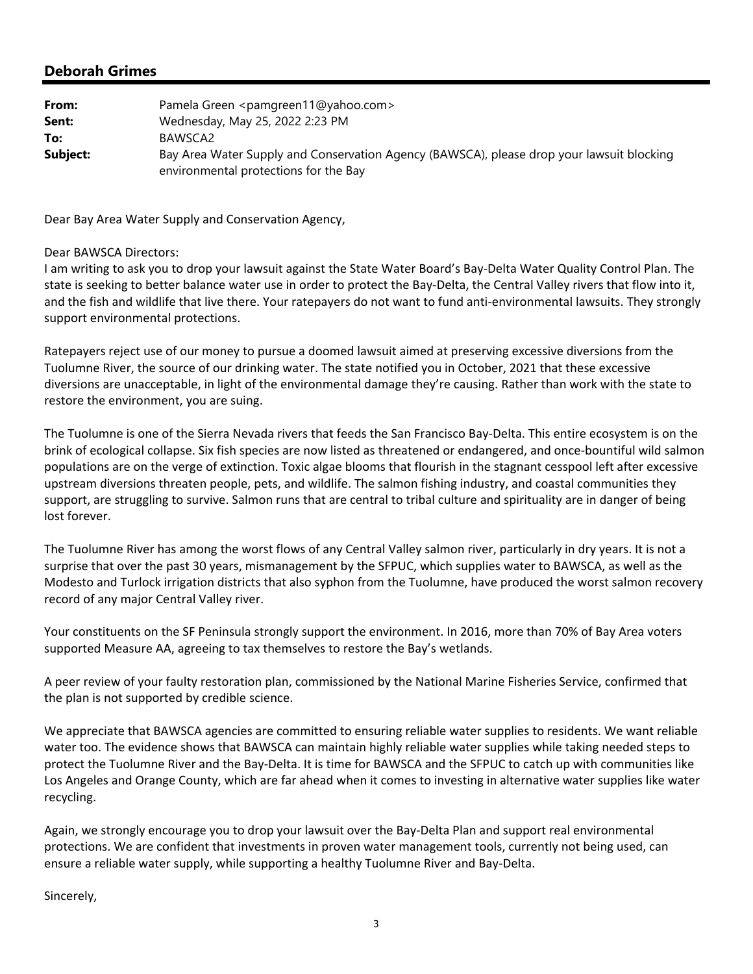| From:    | Pamela Green <pamgreen11@yahoo.com></pamgreen11@yahoo.com>                                                                         |
|----------|------------------------------------------------------------------------------------------------------------------------------------|
| Sent:    | Wednesday, May 25, 2022 2:23 PM                                                                                                    |
| To:      | BAWSCA2                                                                                                                            |
| Subject: | Bay Area Water Supply and Conservation Agency (BAWSCA), please drop your lawsuit blocking<br>environmental protections for the Bay |

Dear Bay Area Water Supply and Conservation Agency,

#### Dear BAWSCA Directors:

I am writing to ask you to drop your lawsuit against the State Water Board's Bay‐Delta Water Quality Control Plan. The state is seeking to better balance water use in order to protect the Bay‐Delta, the Central Valley rivers that flow into it, and the fish and wildlife that live there. Your ratepayers do not want to fund anti-environmental lawsuits. They strongly support environmental protections.

Ratepayers reject use of our money to pursue a doomed lawsuit aimed at preserving excessive diversions from the Tuolumne River, the source of our drinking water. The state notified you in October, 2021 that these excessive diversions are unacceptable, in light of the environmental damage they're causing. Rather than work with the state to restore the environment, you are suing.

The Tuolumne is one of the Sierra Nevada rivers that feeds the San Francisco Bay‐Delta. This entire ecosystem is on the brink of ecological collapse. Six fish species are now listed as threatened or endangered, and once‐bountiful wild salmon populations are on the verge of extinction. Toxic algae blooms that flourish in the stagnant cesspool left after excessive upstream diversions threaten people, pets, and wildlife. The salmon fishing industry, and coastal communities they support, are struggling to survive. Salmon runs that are central to tribal culture and spirituality are in danger of being lost forever.

The Tuolumne River has among the worst flows of any Central Valley salmon river, particularly in dry years. It is not a surprise that over the past 30 years, mismanagement by the SFPUC, which supplies water to BAWSCA, as well as the Modesto and Turlock irrigation districts that also syphon from the Tuolumne, have produced the worst salmon recovery record of any major Central Valley river.

Your constituents on the SF Peninsula strongly support the environment. In 2016, more than 70% of Bay Area voters supported Measure AA, agreeing to tax themselves to restore the Bay's wetlands.

A peer review of your faulty restoration plan, commissioned by the National Marine Fisheries Service, confirmed that the plan is not supported by credible science.

We appreciate that BAWSCA agencies are committed to ensuring reliable water supplies to residents. We want reliable water too. The evidence shows that BAWSCA can maintain highly reliable water supplies while taking needed steps to protect the Tuolumne River and the Bay‐Delta. It is time for BAWSCA and the SFPUC to catch up with communities like Los Angeles and Orange County, which are far ahead when it comes to investing in alternative water supplies like water recycling.

Again, we strongly encourage you to drop your lawsuit over the Bay‐Delta Plan and support real environmental protections. We are confident that investments in proven water management tools, currently not being used, can ensure a reliable water supply, while supporting a healthy Tuolumne River and Bay‐Delta.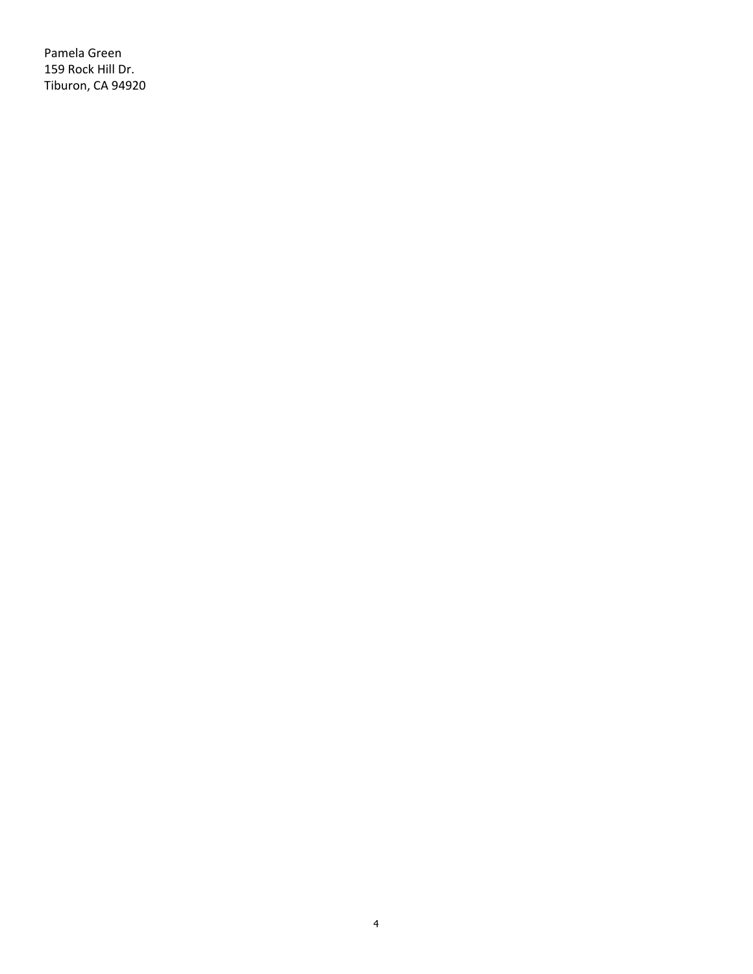Pamela Green 159 Rock Hill Dr. Tiburon, CA 94920